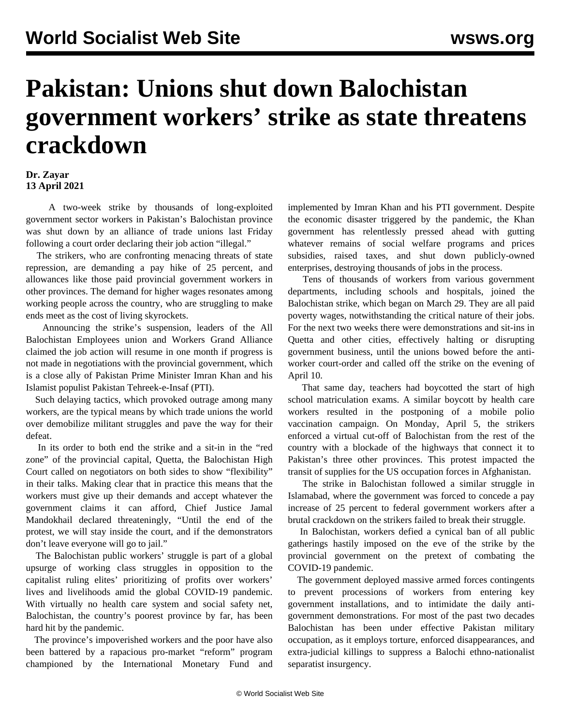## **Pakistan: Unions shut down Balochistan government workers' strike as state threatens crackdown**

## **Dr. Zayar 13 April 2021**

 A two-week strike by thousands of long-exploited government sector workers in Pakistan's Balochistan province was shut down by an alliance of trade unions last Friday following a court order declaring their job action "illegal."

 The strikers, who are confronting menacing threats of state repression, are demanding a pay hike of 25 percent, and allowances like those paid provincial government workers in other provinces. The demand for higher wages resonates among working people across the country, who are struggling to make ends meet as the cost of living skyrockets.

 Announcing the strike's suspension, leaders of the All Balochistan Employees union and Workers Grand Alliance claimed the job action will resume in one month if progress is not made in negotiations with the provincial government, which is a close ally of Pakistan Prime Minister Imran Khan and his Islamist populist Pakistan Tehreek-e-Insaf (PTI).

 Such delaying tactics, which provoked outrage among many workers, are the typical means by which trade unions the world over demobilize militant struggles and pave the way for their defeat.

 In its order to both end the strike and a sit-in in the "red zone" of the provincial capital, Quetta, the Balochistan High Court called on negotiators on both sides to show "flexibility" in their talks. Making clear that in practice this means that the workers must give up their demands and accept whatever the government claims it can afford, Chief Justice Jamal Mandokhail declared threateningly, "Until the end of the protest, we will stay inside the court, and if the demonstrators don't leave everyone will go to jail."

 The Balochistan public workers' struggle is part of a global upsurge of working class struggles in opposition to the capitalist ruling elites' prioritizing of profits over workers' lives and livelihoods amid the global COVID-19 pandemic. With virtually no health care system and social safety net, Balochistan, the country's poorest province by far, has been hard hit by the pandemic.

 The province's impoverished workers and the poor have also been battered by a rapacious pro-market "reform" program championed by the International Monetary Fund and implemented by Imran Khan and his PTI government. Despite the economic disaster triggered by the pandemic, the Khan government has relentlessly pressed ahead with gutting whatever remains of social welfare programs and prices subsidies, raised taxes, and shut down publicly-owned enterprises, destroying thousands of jobs in the process.

 Tens of thousands of workers from various government departments, including schools and hospitals, joined the Balochistan strike, which began on March 29. They are all paid poverty wages, notwithstanding the critical nature of their jobs. For the next two weeks there were demonstrations and sit-ins in Quetta and other cities, effectively halting or disrupting government business, until the unions bowed before the antiworker court-order and called off the strike on the evening of April 10.

 That same day, teachers had boycotted the start of high school matriculation exams. A similar boycott by health care workers resulted in the postponing of a mobile polio vaccination campaign. On Monday, April 5, the strikers enforced a virtual cut-off of Balochistan from the rest of the country with a blockade of the highways that connect it to Pakistan's three other provinces. This protest impacted the transit of supplies for the US occupation forces in Afghanistan.

 The strike in Balochistan followed a similar struggle in Islamabad, where the government was forced to concede a pay increase of 25 percent to federal government workers after a brutal crackdown on the strikers failed to break their struggle.

 In Balochistan, workers defied a cynical ban of all public gatherings hastily imposed on the eve of the strike by the provincial government on the pretext of combating the COVID-19 pandemic.

 The government deployed massive armed forces contingents to prevent processions of workers from entering key government installations, and to intimidate the daily antigovernment demonstrations. For most of the past two decades Balochistan has been under effective Pakistan military occupation, as it employs torture, enforced disappearances, and extra-judicial killings to suppress a Balochi ethno-nationalist separatist insurgency.